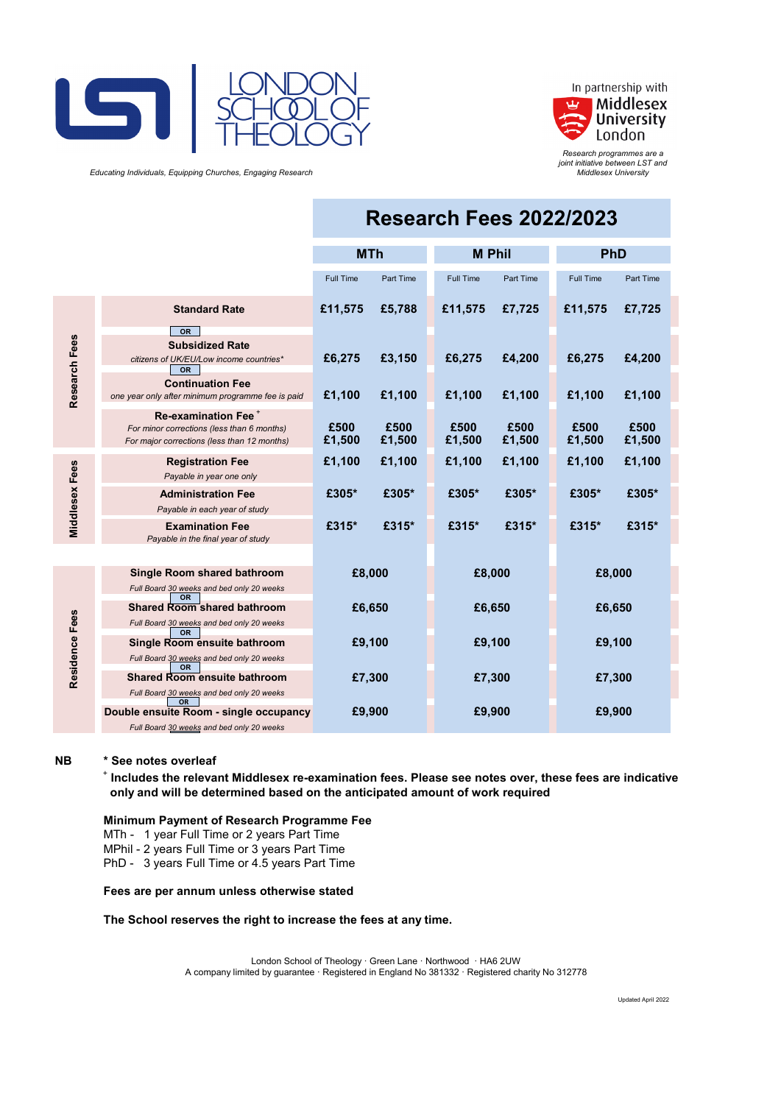



*Research programmes are a joint initiative between LST and Middlesex University*

 *Educating Individuals, Equipping Churches, Engaging Research*

|                       |                                                                                                                              | <b>Research Fees 2022/2023</b> |                |                |                  |                  |                  |
|-----------------------|------------------------------------------------------------------------------------------------------------------------------|--------------------------------|----------------|----------------|------------------|------------------|------------------|
|                       |                                                                                                                              | <b>MTh</b>                     |                | <b>M Phil</b>  |                  | PhD              |                  |
|                       |                                                                                                                              | <b>Full Time</b>               | Part Time      | Full Time      | <b>Part Time</b> | <b>Full Time</b> | <b>Part Time</b> |
| Research Fees         | <b>Standard Rate</b>                                                                                                         | £11,575                        | £5,788         | £11,575        | £7,725           | £11,575          | £7,725           |
|                       | <b>OR</b><br><b>Subsidized Rate</b><br>citizens of UK/EU/Low income countries*<br><b>OR</b><br><b>Continuation Fee</b>       | £6,275                         | £3,150         | £6,275         | £4,200           | £6,275           | £4,200           |
|                       | one year only after minimum programme fee is paid                                                                            | £1,100                         | £1,100         | £1,100         | £1,100           | £1,100           | £1,100           |
|                       | Re-examination Fee <sup>+</sup><br>For minor corrections (less than 6 months)<br>For major corrections (less than 12 months) | £500<br>£1,500                 | £500<br>£1,500 | £500<br>£1,500 | £500<br>£1,500   | £500<br>£1,500   | £500<br>£1,500   |
| <b>Middlesex Fees</b> | <b>Registration Fee</b><br>Payable in year one only                                                                          | £1,100                         | £1,100         | £1,100         | £1,100           | £1,100           | £1,100           |
|                       | <b>Administration Fee</b><br>Payable in each year of study                                                                   | £305*                          | £305*          | £305*          | £305*            | £305*            | £305*            |
|                       | <b>Examination Fee</b><br>Payable in the final year of study                                                                 | £315*                          | £315*          | £315*          | £315*            | £315*            | £315*            |
|                       |                                                                                                                              |                                |                |                |                  |                  |                  |
| Residence Fees        | Single Room shared bathroom<br>Full Board 30 weeks and bed only 20 weeks                                                     | £8,000                         |                | £8,000         |                  | £8,000           |                  |
|                       | <b>OR</b><br><b>Shared Room shared bathroom</b><br>Full Board 30 weeks and bed only 20 weeks                                 | £6,650                         |                | £6,650         |                  | £6,650           |                  |
|                       | <b>OR</b><br>Single Room ensuite bathroom<br>Full Board 30 weeks and bed only 20 weeks                                       | £9,100                         |                | £9,100         |                  | £9,100           |                  |
|                       | <b>OR</b><br><b>Shared Room ensuite bathroom</b><br>Full Board 30 weeks and bed only 20 weeks                                | £7,300                         |                | £7,300         |                  | £7,300           |                  |
|                       | <b>OR</b><br>Double ensuite Room - single occupancy<br>Full Board 30 weeks and bed only 20 weeks                             | £9,900                         |                | £9,900         |                  | £9,900           |                  |

#### **NB \* See notes overleaf**

+  **Includes the relevant Middlesex re-examination fees. Please see notes over, these fees are indicative only and will be determined based on the anticipated amount of work required**

#### **Minimum Payment of Research Programme Fee**

MTh - 1 year Full Time or 2 years Part Time

MPhil - 2 years Full Time or 3 years Part Time

PhD - 3 years Full Time or 4.5 years Part Time

#### **Fees are per annum unless otherwise stated**

#### **The School reserves the right to increase the fees at any time.**

London School of Theology · Green Lane · Northwood · HA6 2UW A company limited by guarantee · Registered in England No 381332 · Registered charity No 312778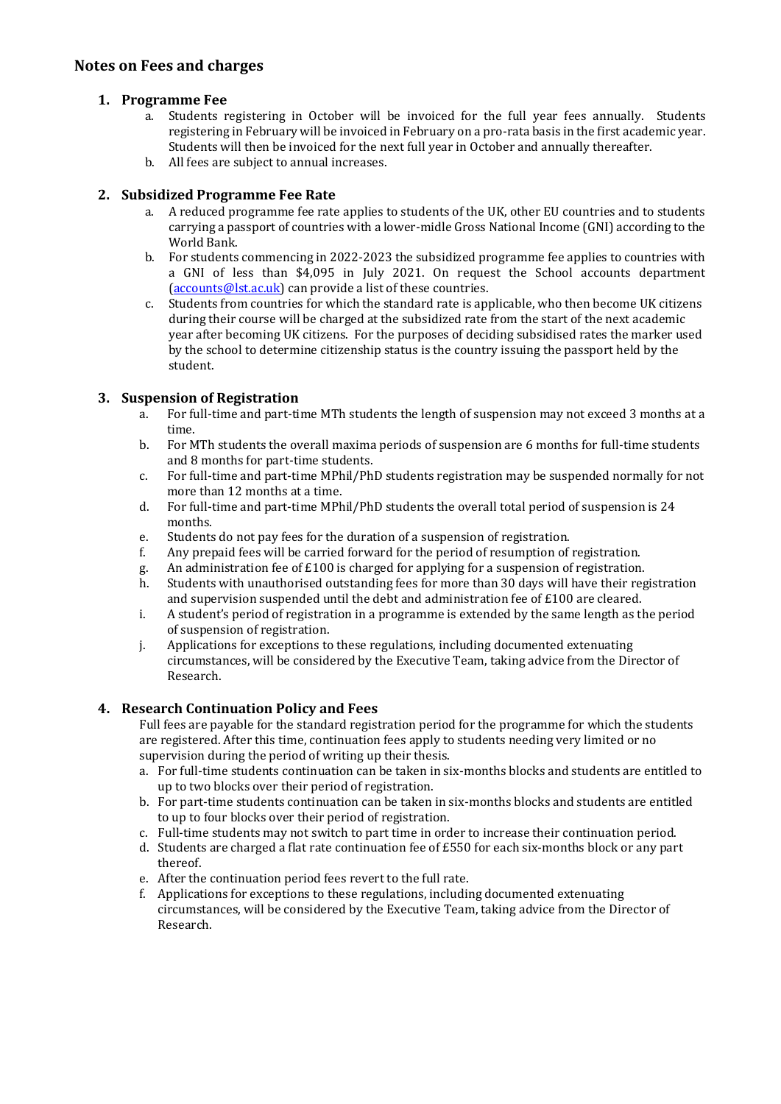# **Notes on Fees and charges**

## **1. Programme Fee**

- a. Students registering in October will be invoiced for the full year fees annually. Students registering in February will be invoiced in February on a pro-rata basis in the first academic year. Students will then be invoiced for the next full year in October and annually thereafter.
- b. All fees are subject to annual increases.

# **2. Subsidized Programme Fee Rate**

- a. A reduced programme fee rate applies to students of the UK, other EU countries and to students carrying a passport of countries with a lower-midle Gross National Income (GNI) according to the World Bank.
- b. For students commencing in 2022-2023 the subsidized programme fee applies to countries with a GNI of less than \$4,095 in July 2021. On request the School accounts department [\(accounts@lst.ac.uk\)](mailto:accounts@lst.ac.uk) can provide a list of these countries.
- c. Students from countries for which the standard rate is applicable, who then become UK citizens during their course will be charged at the subsidized rate from the start of the next academic year after becoming UK citizens. For the purposes of deciding subsidised rates the marker used by the school to determine citizenship status is the country issuing the passport held by the student.

## **3. Suspension of Registration**

- a. For full-time and part-time MTh students the length of suspension may not exceed 3 months at a time.
- b. For MTh students the overall maxima periods of suspension are 6 months for full-time students and 8 months for part-time students.
- c. For full-time and part-time MPhil/PhD students registration may be suspended normally for not more than 12 months at a time.
- d. For full-time and part-time MPhil/PhD students the overall total period of suspension is 24 months.
- e. Students do not pay fees for the duration of a suspension of registration.
- f. Any prepaid fees will be carried forward for the period of resumption of registration.<br>g. An administration fee of  $E100$  is charged for applying for a suspension of registration.
- g. An administration fee of  $£100$  is charged for applying for a suspension of registration.<br>
h. Students with unauthorised outstanding fees for more than 30 days will have their reg
- Students with unauthorised outstanding fees for more than 30 days will have their registration and supervision suspended until the debt and administration fee of £100 are cleared.
- i. A student's period of registration in a programme is extended by the same length as the period of suspension of registration.
- j. Applications for exceptions to these regulations, including documented extenuating circumstances, will be considered by the Executive Team, taking advice from the Director of Research.

## **4. Research Continuation Policy and Fees**

Full fees are payable for the standard registration period for the programme for which the students are registered. After this time, continuation fees apply to students needing very limited or no supervision during the period of writing up their thesis.

- a. For full-time students continuation can be taken in six-months blocks and students are entitled to up to two blocks over their period of registration.
- b. For part-time students continuation can be taken in six-months blocks and students are entitled to up to four blocks over their period of registration.
- c. Full-time students may not switch to part time in order to increase their continuation period.
- d. Students are charged a flat rate continuation fee of  $£550$  for each six-months block or any part thereof.
- e. After the continuation period fees revert to the full rate.
- f. Applications for exceptions to these regulations, including documented extenuating circumstances, will be considered by the Executive Team, taking advice from the Director of Research.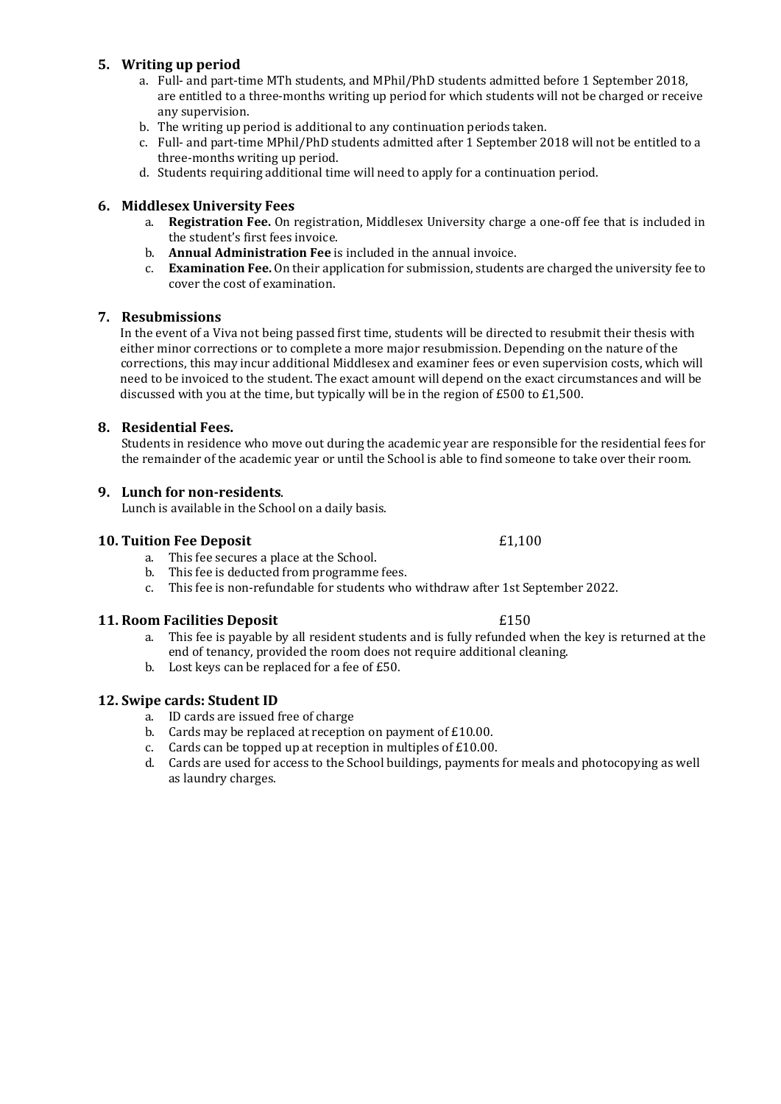# **5. Writing up period**

- a. Full- and part-time MTh students, and MPhil/PhD students admitted before 1 September 2018, are entitled to a three-months writing up period for which students will not be charged or receive any supervision.
- b. The writing up period is additional to any continuation periods taken.
- c. Full- and part-time MPhil/PhD students admitted after 1 September 2018 will not be entitled to a three-months writing up period.
- d. Students requiring additional time will need to apply for a continuation period.

## **6. Middlesex University Fees**

- a. **Registration Fee.** On registration, Middlesex University charge a one-off fee that is included in the student's first fees invoice.
- b. **Annual Administration Fee** is included in the annual invoice.
- c. **Examination Fee.** On their application for submission, students are charged the university fee to cover the cost of examination.

## **7. Resubmissions**

In the event of a Viva not being passed first time, students will be directed to resubmit their thesis with either minor corrections or to complete a more major resubmission. Depending on the nature of the corrections, this may incur additional Middlesex and examiner fees or even supervision costs, which will need to be invoiced to the student. The exact amount will depend on the exact circumstances and will be discussed with you at the time, but typically will be in the region of £500 to £1,500.

## **8. Residential Fees.**

Students in residence who move out during the academic year are responsible for the residential fees for the remainder of the academic year or until the School is able to find someone to take over their room.

#### **9. Lunch for non-residents**.

Lunch is available in the School on a daily basis.

#### **10. Tuition Fee Deposit** £1,100

- a. This fee secures a place at the School.
- b. This fee is deducted from programme fees.
- c. This fee is non-refundable for students who withdraw after 1st September 2022.

## **11. Room Facilities Deposit** £150

- a. This fee is payable by all resident students and is fully refunded when the key is returned at the end of tenancy, provided the room does not require additional cleaning.
- b. Lost keys can be replaced for a fee of £50.

## **12. Swipe cards: Student ID**

- a. ID cards are issued free of charge
- b. Cards may be replaced at reception on payment of £10.00.
- c. Cards can be topped up at reception in multiples of £10.00.
- d. Cards are used for access to the School buildings, payments for meals and photocopying as well as laundry charges.